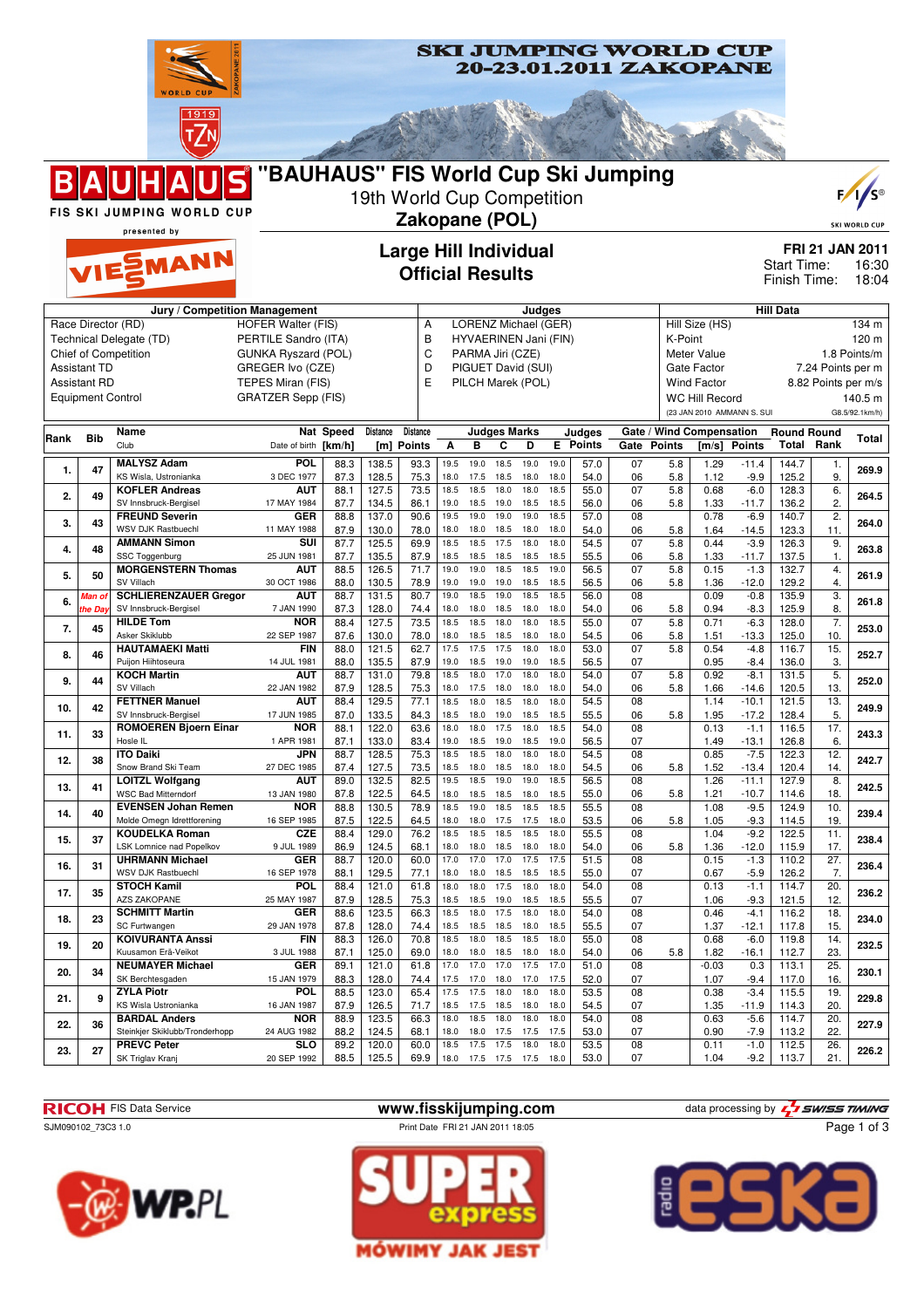



**23. 27 PREVC Peter**

SK Triglav Kranj



88.2 124.5 68.1 18.0 18.0 17.5 17.5 17.5 53.0 07 0.90 -7.9 113.2 22.

**SKI JUMPING WORLD CUP** 

**20 SLO** | 89.2 | 120.0 | 60.0 | 18.5 17.5 17.5 18.0 18.0 | 53.5 | 08 | 0.11 -1.0 | 112.5 | 26. | 226.2<br>20 20 19.0 | 13.5 | 23.5 | 59.9 | 18.0 17.5 17.5 17.5 18.0 | 53.0 | 07 | 1.04 -9.2 | 113.7 | 21. | 226.2 88.5 125.5 69.9 18.0 17.5 17.5 17.5 18.0 53.0 07 1.04 -9.2 113.7 21.



**SLO**



Steinkier Skiklubb/Tronderhopp





Page 1 of 3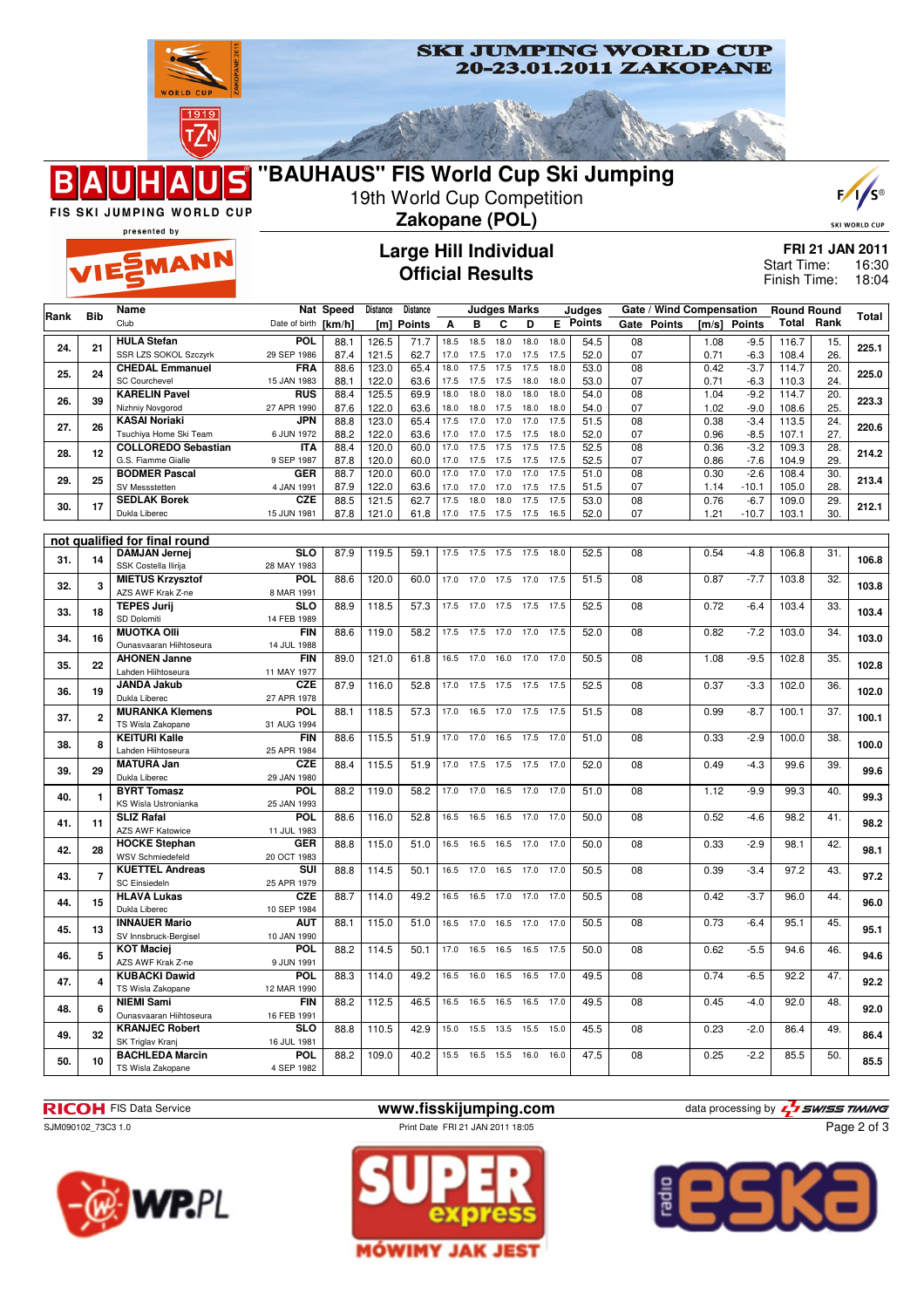



FIS SKI JUMPING WORLD CUP presented by

EMANN

B

## **Large Hill Individual Official Results**



**FRI 21 JAN 2011** 16:30 18:04 Start Time: Finish Time:

| <b>Bib</b><br>Rank |                | Name                                           |                           | Nat Speed    | Distance       | Distance      |              |              | <b>Judges Marks</b> |              |              | Judges          |                 |               | Gate / Wind Compensation |                  | <b>Round Round</b> |                   | Total |
|--------------------|----------------|------------------------------------------------|---------------------------|--------------|----------------|---------------|--------------|--------------|---------------------|--------------|--------------|-----------------|-----------------|---------------|--------------------------|------------------|--------------------|-------------------|-------|
|                    |                | Club                                           | Date of birth [km/h]      |              | [m]            | <b>Points</b> | A            | в            | C                   | D            |              | <b>E</b> Points | Gate            | <b>Points</b> | [m/s]                    | <b>Points</b>    |                    | <b>Total Rank</b> |       |
| 24.                | 21             | <b>HULA Stefan</b>                             | <b>POL</b>                | 88.1         | 126.5          | 71.7          | 18.5         | 18.5         | 18.0                | 18.0         | 18.0         | 54.5            | 08              |               | 1.08                     | $-9.5$           | 116.7              | 15.               | 225.1 |
|                    |                | SSR LZS SOKOL Szczyrk                          | 29 SEP 1986               | 87.4         | 121.5          | 62.7          | 17.0         | 17.5         | 17.0                | 17.5         | 17.5         | 52.0            | 07              |               | 0.71                     | $-6.3$           | 108.4              | 26.               |       |
| 25.                | 24             | <b>CHEDAL Emmanuel</b>                         | <b>FRA</b>                | 88.6         | 123.0          | 65.4          | 18.0         | 17.5         | 17.5                | 17.5         | 18.0         | 53.0            | $\overline{08}$ |               | 0.42                     | $-3.7$           | 114.7              | $\overline{20}$   | 225.0 |
|                    |                | <b>SC Courchevel</b>                           | 15 JAN 1983               | 88.1         | 122.0          | 63.6          | 17.5         | 17.5         | 17.5                | 18.0         | 18.0         | 53.0            | 07              |               | 0.71                     | $-6.3$           | 110.3              | 24.               |       |
| 26.                | 39             | <b>KARELIN Pavel</b><br>Nizhniy Novgorod       | <b>RUS</b><br>27 APR 1990 | 88.4<br>87.6 | 125.5<br>122.0 | 69.9<br>63.6  | 18.0<br>18.0 | 18.0<br>18.0 | 18.0<br>17.5        | 18.0<br>18.0 | 18.0<br>18.0 | 54.0<br>54.0    | 08<br>07        |               | 1.04<br>1.02             | $-9.2$<br>$-9.0$ | 114.7<br>108.6     | 20.<br>25.        | 223.3 |
|                    |                | <b>KASAI Noriaki</b>                           | JPN                       | 88.8         | 123.0          | 65.4          | 17.5         | 17.0         | 17.0                | 17.0         | 17.5         | 51.5            | 08              |               | 0.38                     | $-3.4$           | 113.5              | 24.               |       |
| 27.                | 26             | Tsuchiya Home Ski Team                         | 6 JUN 1972                | 88.2         | 122.0          | 63.6          | 17.0         | 17.0         | 17.5                | 17.5         | 18.0         | 52.0            | 07              |               | 0.96                     | $-8.5$           | 107.1              | 27.               | 220.6 |
|                    |                | <b>COLLOREDO Sebastian</b>                     | <b>ITA</b>                | 88.4         | 120.0          | 60.0          | 17.0         | 17.5         | 17.5                | 17.5         | 17.5         | 52.5            | $\overline{08}$ |               | 0.36                     | $-3.2$           | 109.3              | 28.               |       |
| 28.                | 12             | G.S. Fiamme Gialle                             | 9 SEP 1987                | 87.8         | 120.0          | 60.0          | 17.0         | 17.5         | 17.5                | 17.5         | 17.5         | 52.5            | 07              |               | 0.86                     | $-7.6$           | 104.9              | 29.               | 214.2 |
| 29.                | 25             | <b>BODMER Pascal</b>                           | <b>GER</b>                | 88.7         | 120.0          | 60.0          | 17.0         | 17.0         | 17.0                | 17.0         | 17.5         | 51.0            | $\overline{08}$ |               | 0.30                     | $-2.6$           | 108.4              | 30.               | 213.4 |
|                    |                | SV Messstetten                                 | 4 JAN 1991                | 87.9         | 122.0          | 63.6          | 17.0         | 17.0         | 17.0                | 17.5         | 17.5         | 51.5            | 07              |               | 1.14                     | $-10.1$          | 105.0              | 28.               |       |
| 30.                | 17             | <b>SEDLAK Borek</b>                            | CZE                       | 88.5         | 121.5          | 62.7          | 17.5         | 18.0         | 18.0                | 17.5         | 17.5         | 53.0            | $\overline{08}$ |               | 0.76                     | $-6.7$           | 109.0              | 29.               | 212.1 |
|                    |                | Dukla Liberec                                  | 15 JUN 1981               | 87.8         | 121.0          | 61.8          |              | 17.0 17.5    | 17.5                | 17.5         | 16.5         | 52.0            | 07              |               | 1.21                     | $-10.7$          | 103.1              | 30.               |       |
|                    |                | not qualified for final round                  |                           |              |                |               |              |              |                     |              |              |                 |                 |               |                          |                  |                    |                   |       |
|                    |                | <b>DAMJAN Jernej</b>                           | <b>SLO</b>                | 87.9         | 119.5          | 59.1          | 17.5         | 17.5         | 17.5                | 17.5         | 18.0         | 52.5            | 08              |               | 0.54                     | $-4.8$           | 106.8              | 31.               |       |
| 31.                | 14             | SSK Costella Ilirija                           | 28 MAY 1983               |              |                |               |              |              |                     |              |              |                 |                 |               |                          |                  |                    |                   | 106.8 |
| 32.                | 3              | <b>MIETUS Krzysztof</b>                        | <b>POL</b>                | 88.6         | 120.0          | 60.0          | 17.0         | 17.0         | 17.5                | 17.0         | 17.5         | 51.5            | 08              |               | 0.87                     | $-7.7$           | 103.8              | $\overline{32}$ . | 103.8 |
|                    |                | AZS AWF Krak Z-ne                              | 8 MAR 1991                |              |                |               |              |              |                     |              |              |                 |                 |               |                          |                  |                    |                   |       |
| 33.                | 18             | <b>TEPES Jurij</b>                             | $\overline{\text{SLO}}$   | 88.9         | 118.5          | 57.3          | 17.5         | 17.0         | 17.5                | 17.5         | 17.5         | 52.5            | 08              |               | 0.72                     | $-6.4$           | 103.4              | 33.               | 103.4 |
|                    |                | SD Dolomiti                                    | 14 FEB 1989               |              |                |               |              |              |                     |              |              |                 |                 |               |                          |                  |                    |                   |       |
| 34.                | 16             | <b>MUOTKA OIII</b>                             | <b>FIN</b>                | 88.6         | 119.0          | 58.2          | 17.5         | 17.5         | 17.0                | 17.0         | 17.5         | 52.0            | 08              |               | 0.82                     | $-7.2$           | 103.0              | 34.               | 103.0 |
| 35.                |                | Ounasvaaran Hiihtoseura<br><b>AHONEN Janne</b> | 14 JUL 1988<br><b>FIN</b> | 89.0         | 121.0          | 61.8          | 16.5         | 17.0         | 16.0                | 17.0         | 17.0         | 50.5            | 08              |               | 1.08                     | $-9.5$           | 102.8              | 35.               |       |
|                    | 22             | Lahden Hiihtoseura                             | 11 MAY 1977               |              |                |               |              |              |                     |              |              |                 |                 |               |                          |                  |                    |                   | 102.8 |
|                    |                | <b>JANDA Jakub</b>                             | <b>CZE</b>                | 87.9         | 116.0          | 52.8          | 17.0         | 17.5         | 17.5                | 17.5         | 17.5         | 52.5            | 08              |               | 0.37                     | $-3.3$           | 102.0              | 36.               |       |
| 36.                | 19             | Dukla Liberec                                  | 27 APR 1978               |              |                |               |              |              |                     |              |              |                 |                 |               |                          |                  |                    |                   | 102.0 |
| 37.                | $\overline{2}$ | <b>MURANKA Klemens</b>                         | POL                       | 88.1         | 118.5          | 57.3          | 17.0         | 16.5         | 17.0                | 17.5         | 17.5         | 51.5            | 08              |               | 0.99                     | $-8.7$           | 100.1              | 37.               | 100.1 |
|                    |                | TS Wisla Zakopane                              | 31 AUG 1994               |              |                |               |              |              |                     |              |              |                 |                 |               |                          |                  |                    |                   |       |
| 38.                | 8              | <b>KEITURI Kalle</b>                           | <b>FIN</b>                | 88.6         | 115.5          | 51.9          | 17.0         | 17.0         | 16.5                | 17.5         | 17.0         | 51.0            | 08              |               | 0.33                     | $-2.9$           | 100.0              | $\overline{38}$   | 100.0 |
|                    |                | Lahden Hiihtoseura                             | 25 APR 1984               |              |                |               |              |              |                     |              |              |                 |                 |               |                          |                  |                    |                   |       |
| 39.                | 29             | <b>MATURA Jan</b>                              | <b>CZE</b>                | 88.4         | 115.5          | 51.9          | 17.0         | 17.5         | 17.5                | 17.5         | 17.0         | 52.0            | 08              |               | 0.49                     | $-4.3$           | 99.6               | 39.               | 99.6  |
|                    |                | Dukla Liberec<br><b>BYRT Tomasz</b>            | 29 JAN 1980<br>POL        | 88.2         | 119.0          | 58.2          | 17.0         | 17.0         | 16.5                | 17.0         | 17.0         | 51.0            | 08              |               | 1.12                     | $-9.9$           | 99.3               | 40.               |       |
| 40.                | 1              | KS Wisla Ustronianka                           | 25 JAN 1993               |              |                |               |              |              |                     |              |              |                 |                 |               |                          |                  |                    |                   | 99.3  |
|                    |                | <b>SLIZ Rafal</b>                              | POL                       | 88.6         | 116.0          | 52.8          | 16.5         | 16.5         | 16.5                | 17.0         | 17.0         | 50.0            | 08              |               | 0.52                     | $-4.6$           | 98.2               | 41.               |       |
| 41.                | 11             | <b>AZS AWF Katowice</b>                        | 11 JUL 1983               |              |                |               |              |              |                     |              |              |                 |                 |               |                          |                  |                    |                   | 98.2  |
| 42.                | 28             | <b>HOCKE Stephan</b>                           | <b>GER</b>                | 88.8         | 115.0          | 51.0          | 16.5         | 16.5         | 16.5                | 17.0         | 17.0         | 50.0            | 08              |               | 0.33                     | $-2.9$           | 98.1               | 42.               | 98.1  |
|                    |                | WSV Schmiedefeld                               | 20 OCT 1983               |              |                |               |              |              |                     |              |              |                 |                 |               |                          |                  |                    |                   |       |
| 43.                | $\overline{7}$ | <b>KUETTEL Andreas</b>                         | SUI                       | 88.8         | 114.5          | 50.1          | 16.5         | 17.0         | 16.5                | 17.0         | 17.0         | 50.5            | 08              |               | 0.39                     | $-3.4$           | 97.2               | 43.               | 97.2  |
|                    |                | <b>SC Einsiedeln</b>                           | 25 APR 1979               |              |                |               |              |              |                     |              |              |                 |                 |               |                          |                  |                    |                   |       |
| 44.                | 15             | <b>HLAVA Lukas</b>                             | <b>CZE</b>                | 88.7         | 114.0          | 49.2          | 16.5         | 16.5         | 17.0                | 17.0         | 17.0         | 50.5            | 08              |               | 0.42                     | $-3.7$           | 96.0               | 44.               | 96.0  |
|                    |                | Dukla Liberec<br><b>INNAUER Mario</b>          | 10 SEP 1984<br>AUT        | 88.1         | 115.0          | 51.0          | 16.5         | 17.0         | 16.5                | 17.0         | 17.0         | 50.5            | 08              |               | 0.73                     | $-6.4$           | 95.1               | 45.               |       |
| 45.                | 13             | SV Innsbruck-Bergisel                          | 10 JAN 1990               |              |                |               |              |              |                     |              |              |                 |                 |               |                          |                  |                    |                   | 95.1  |
|                    |                | <b>KOT Maciej</b>                              | <b>POL</b>                | 88.2         | 114.5          | 50.1          | 17.0         | 16.5         | 16.5                | 16.5         | 17.5         | 50.0            | 08              |               | 0.62                     | $-5.5$           | 94.6               | 46.               |       |
| 46.                | 5              | AZS AWF Krak Z-ne                              | 9 JUN 1991                |              |                |               |              |              |                     |              |              |                 |                 |               |                          |                  |                    |                   | 94.6  |
|                    |                | <b>KUBACKI Dawid</b>                           | <b>POL</b>                | 88.3         | 114.0          | 49.2          | 16.5         | 16.0         | 16.5                | 16.5         | 17.0         | 49.5            | 08              |               | 0.74                     | $-6.5$           | 92.2               | 47.               |       |
| 47.                | 4              | TS Wisla Zakopane                              | 12 MAR 1990               |              |                |               |              |              |                     |              |              |                 |                 |               |                          |                  |                    |                   | 92.2  |
| 48.                | 6              | <b>NIEMI Sami</b>                              | <b>FIN</b>                | 88.2         | 112.5          | 46.5          | 16.5         | 16.5         | 16.5                | 16.5         | 17.0         | 49.5            | 08              |               | 0.45                     | $-4.0$           | 92.0               | 48.               | 92.0  |
|                    |                | Ounasvaaran Hiihtoseura                        | 16 FEB 1991               |              |                |               |              |              |                     |              |              |                 |                 |               |                          |                  |                    |                   |       |
| 49.                | 32             | <b>KRANJEC Robert</b>                          | <b>SLO</b>                | 88.8         | 110.5          | 42.9          | 15.0         | 15.5         | 13.5                | 15.5         | 15.0         | 45.5            | 08              |               | 0.23                     | $-2.0$           | 86.4               | 49.               | 86.4  |
|                    |                | SK Triglav Kranj                               | 16 JUL 1981<br>POL        |              |                | 40.2          |              |              |                     |              |              |                 |                 |               |                          |                  |                    |                   |       |
| 50.                | 10             | <b>BACHLEDA Marcin</b><br>TS Wisla Zakopane    | 4 SEP 1982                | 88.2         | 109.0          |               | 15.5         | 16.5         | 15.5                | 16.0         | 16.0         | 47.5            | 08              |               | 0.25                     | $-2.2$           | 85.5               | 50.               | 85.5  |
|                    |                |                                                |                           |              |                |               |              |              |                     |              |              |                 |                 |               |                          |                  |                    |                   |       |

**RICOH** FIS Data Service **www.fisskijumping.com** data processing by  $\frac{7}{2}$  **swiss TIMING**